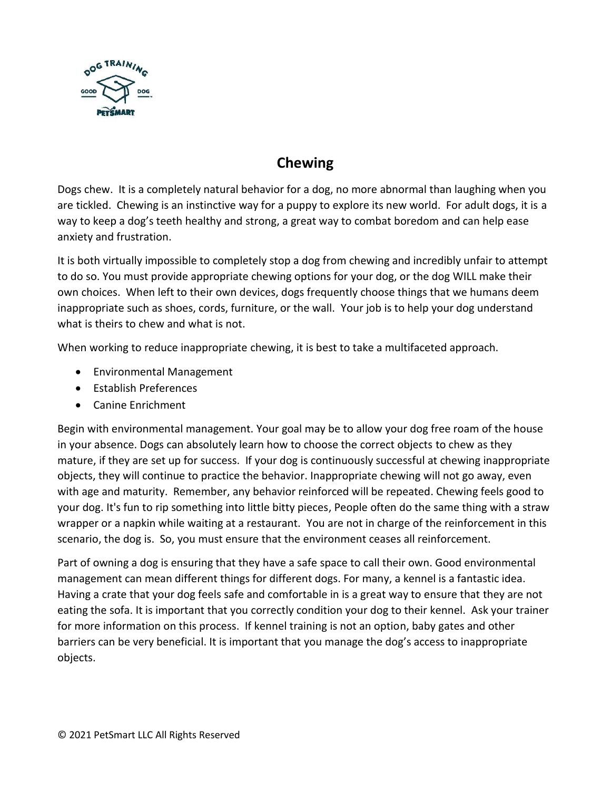

## **Chewing**

Dogs chew. It is a completely natural behavior for a dog, no more abnormal than laughing when you are tickled. Chewing is an instinctive way for a puppy to explore its new world. For adult dogs, it is a way to keep a dog's teeth healthy and strong, a great way to combat boredom and can help ease anxiety and frustration.

It is both virtually impossible to completely stop a dog from chewing and incredibly unfair to attempt to do so. You must provide appropriate chewing options for your dog, or the dog WILL make their own choices. When left to their own devices, dogs frequently choose things that we humans deem inappropriate such as shoes, cords, furniture, or the wall. Your job is to help your dog understand what is theirs to chew and what is not.

When working to reduce inappropriate chewing, it is best to take a multifaceted approach.

- Environmental Management
- Establish Preferences
- Canine Enrichment

Begin with environmental management. Your goal may be to allow your dog free roam of the house in your absence. Dogs can absolutely learn how to choose the correct objects to chew as they mature, if they are set up for success. If your dog is continuously successful at chewing inappropriate objects, they will continue to practice the behavior. Inappropriate chewing will not go away, even with age and maturity. Remember, any behavior reinforced will be repeated. Chewing feels good to your dog. It's fun to rip something into little bitty pieces, People often do the same thing with a straw wrapper or a napkin while waiting at a restaurant. You are not in charge of the reinforcement in this scenario, the dog is. So, you must ensure that the environment ceases all reinforcement.

Part of owning a dog is ensuring that they have a safe space to call their own. Good environmental management can mean different things for different dogs. For many, a kennel is a fantastic idea. Having a crate that your dog feels safe and comfortable in is a great way to ensure that they are not eating the sofa. It is important that you correctly condition your dog to their kennel. Ask your trainer for more information on this process. If kennel training is not an option, baby gates and other barriers can be very beneficial. It is important that you manage the dog's access to inappropriate objects.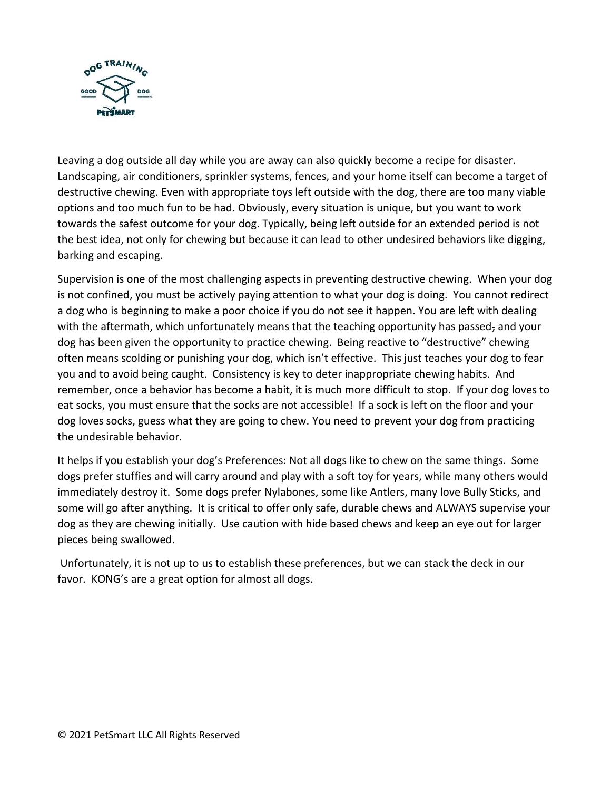

Leaving a dog outside all day while you are away can also quickly become a recipe for disaster. Landscaping, air conditioners, sprinkler systems, fences, and your home itself can become a target of destructive chewing. Even with appropriate toys left outside with the dog, there are too many viable options and too much fun to be had. Obviously, every situation is unique, but you want to work towards the safest outcome for your dog. Typically, being left outside for an extended period is not the best idea, not only for chewing but because it can lead to other undesired behaviors like digging, barking and escaping.

Supervision is one of the most challenging aspects in preventing destructive chewing. When your dog is not confined, you must be actively paying attention to what your dog is doing. You cannot redirect a dog who is beginning to make a poor choice if you do not see it happen. You are left with dealing with the aftermath, which unfortunately means that the teaching opportunity has passed, and your dog has been given the opportunity to practice chewing. Being reactive to "destructive" chewing often means scolding or punishing your dog, which isn't effective. This just teaches your dog to fear you and to avoid being caught. Consistency is key to deter inappropriate chewing habits. And remember, once a behavior has become a habit, it is much more difficult to stop. If your dog loves to eat socks, you must ensure that the socks are not accessible! If a sock is left on the floor and your dog loves socks, guess what they are going to chew. You need to prevent your dog from practicing the undesirable behavior.

It helps if you establish your dog's Preferences: Not all dogs like to chew on the same things. Some dogs prefer stuffies and will carry around and play with a soft toy for years, while many others would immediately destroy it. Some dogs prefer Nylabones, some like Antlers, many love Bully Sticks, and some will go after anything. It is critical to offer only safe, durable chews and ALWAYS supervise your dog as they are chewing initially. Use caution with hide based chews and keep an eye out for larger pieces being swallowed.

Unfortunately, it is not up to us to establish these preferences, but we can stack the deck in our favor. KONG's are a great option for almost all dogs.